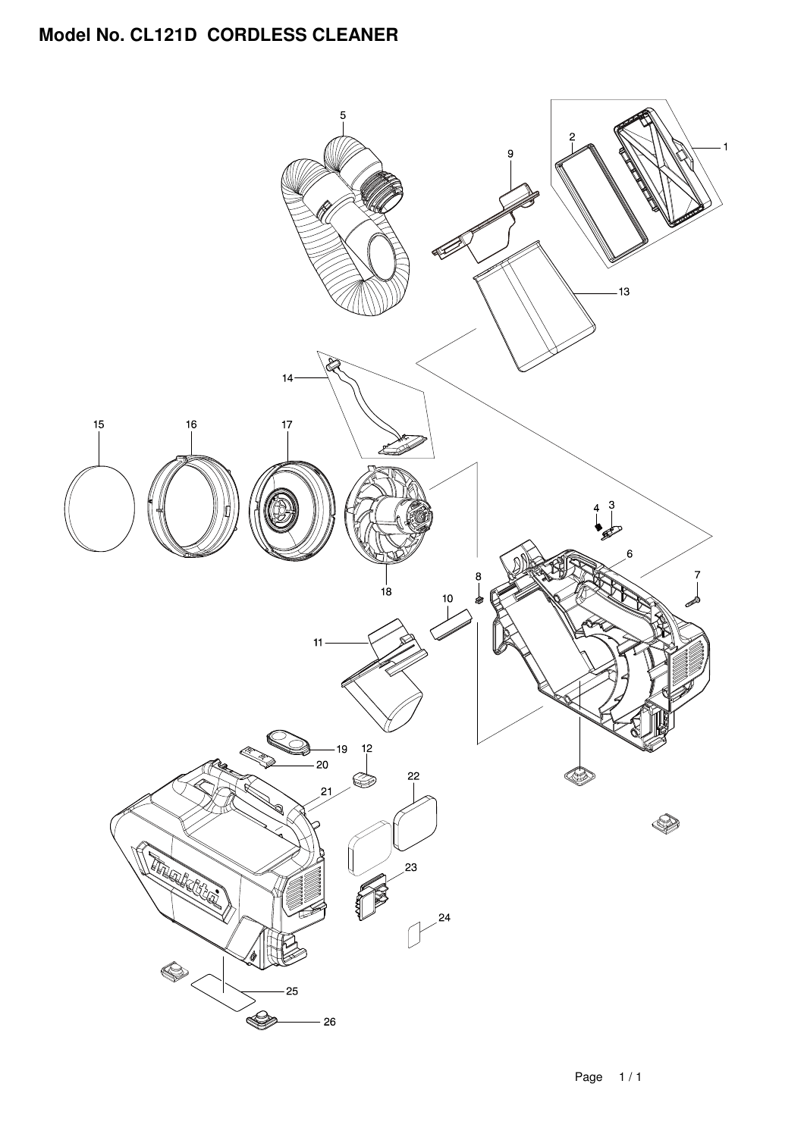## **Model No. CL121D CORDLESS CLEANER**